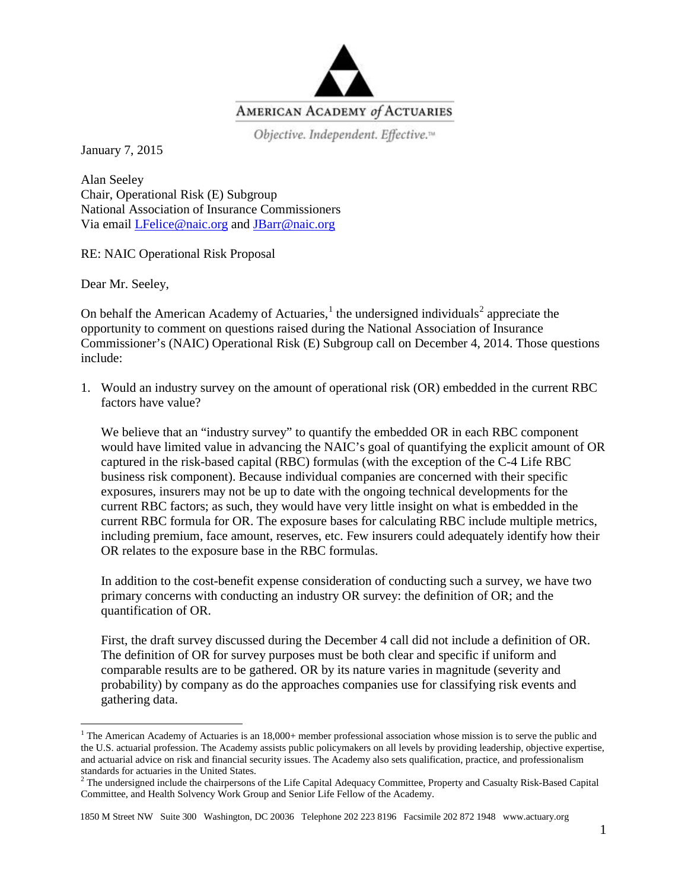

Objective. Independent. Effective.<sup>14</sup>

January 7, 2015

Alan Seeley Chair, Operational Risk (E) Subgroup National Association of Insurance Commissioners Via email [LFelice@naic.org](mailto:LFelice@naic.org) and [JBarr@naic.org](mailto:JBarr@naic.org)

RE: NAIC Operational Risk Proposal

Dear Mr. Seeley,

On behalf the American Academy of Actuaries, $<sup>1</sup>$  $<sup>1</sup>$  $<sup>1</sup>$  the undersigned individuals<sup>[2](#page-0-1)</sup> appreciate the</sup> opportunity to comment on questions raised during the National Association of Insurance Commissioner's (NAIC) Operational Risk (E) Subgroup call on December 4, 2014. Those questions include:

1. Would an industry survey on the amount of operational risk (OR) embedded in the current RBC factors have value?

We believe that an "industry survey" to quantify the embedded OR in each RBC component would have limited value in advancing the NAIC's goal of quantifying the explicit amount of OR captured in the risk-based capital (RBC) formulas (with the exception of the C-4 Life RBC business risk component). Because individual companies are concerned with their specific exposures, insurers may not be up to date with the ongoing technical developments for the current RBC factors; as such, they would have very little insight on what is embedded in the current RBC formula for OR. The exposure bases for calculating RBC include multiple metrics, including premium, face amount, reserves, etc. Few insurers could adequately identify how their OR relates to the exposure base in the RBC formulas.

In addition to the cost-benefit expense consideration of conducting such a survey, we have two primary concerns with conducting an industry OR survey: the definition of OR; and the quantification of OR.

First, the draft survey discussed during the December 4 call did not include a definition of OR. The definition of OR for survey purposes must be both clear and specific if uniform and comparable results are to be gathered. OR by its nature varies in magnitude (severity and probability) by company as do the approaches companies use for classifying risk events and gathering data.

1850 M Street NW Suite 300 Washington, DC 20036 Telephone 202 223 8196 Facsimile 202 872 1948 www.actuary.org

<span id="page-0-0"></span><sup>&</sup>lt;sup>1</sup> The American Academy of Actuaries is an  $18,000+$  member professional association whose mission is to serve the public and the U.S. actuarial profession. The Academy assists public policymakers on all levels by providing leadership, objective expertise, and actuarial advice on risk and financial security issues. The Academy also sets qualification, practice, and professionalism standards for actuaries in the United States.

<span id="page-0-1"></span> $2$  The undersigned include the chairpersons of the Life Capital Adequacy Committee, Property and Casualty Risk-Based Capital Committee, and Health Solvency Work Group and Senior Life Fellow of the Academy.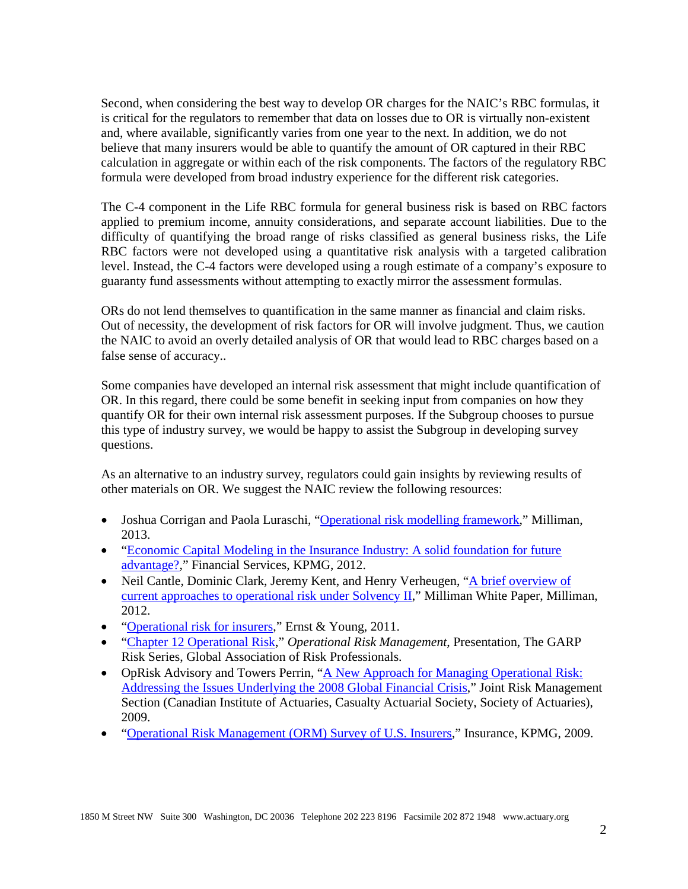Second, when considering the best way to develop OR charges for the NAIC's RBC formulas, it is critical for the regulators to remember that data on losses due to OR is virtually non-existent and, where available, significantly varies from one year to the next. In addition, we do not believe that many insurers would be able to quantify the amount of OR captured in their RBC calculation in aggregate or within each of the risk components. The factors of the regulatory RBC formula were developed from broad industry experience for the different risk categories.

The C-4 component in the Life RBC formula for general business risk is based on RBC factors applied to premium income, annuity considerations, and separate account liabilities. Due to the difficulty of quantifying the broad range of risks classified as general business risks, the Life RBC factors were not developed using a quantitative risk analysis with a targeted calibration level. Instead, the C-4 factors were developed using a rough estimate of a company's exposure to guaranty fund assessments without attempting to exactly mirror the assessment formulas.

ORs do not lend themselves to quantification in the same manner as financial and claim risks. Out of necessity, the development of risk factors for OR will involve judgment. Thus, we caution the NAIC to avoid an overly detailed analysis of OR that would lead to RBC charges based on a false sense of accuracy..

Some companies have developed an internal risk assessment that might include quantification of OR. In this regard, there could be some benefit in seeking input from companies on how they quantify OR for their own internal risk assessment purposes. If the Subgroup chooses to pursue this type of industry survey, we would be happy to assist the Subgroup in developing survey questions.

As an alternative to an industry survey, regulators could gain insights by reviewing results of other materials on OR. We suggest the NAIC review the following resources:

- Joshua Corrigan and Paola Luraschi, ["Operational risk modelling framework,](http://www.milliman.com/uploadedFiles/insight/life-published/operational-risk-modelling-framework.pdf)" Milliman, 2013.
- "Economic Capital Modeling in the Insurance Industry: A solid foundation for future [advantage?,](http://www.kpmg.com/CN/en/IssuesAndInsights/ArticlesPublications/Documents/economic-capital-modelling-O-201208.pdf)" Financial Services, KPMG, 2012.
- Neil Cantle, Dominic Clark, Jeremy Kent, and Henry Verheugen, "A brief overview of [current approaches to operational risk under Solvency II,](http://www.milliman.com/uploadedFiles/insight/life-published/pdfs/current-approaches-operational-risk.pdf)" Milliman White Paper, Milliman, 2012.
- ["Operational risk for insurers,](http://www.ey.com/Publication/vwLUAssets/Operations_risk_paper_Dec_2011/$FILE/Operations%20risk%20paper_Dec%202011.pdf)" Ernst & Young, 2011.
- ["Chapter 12 Operational Risk,](http://www.garp.org/media/673303/operational%20risk%20slides.pdf)" *Operational Risk Management*, Presentation, The GARP Risk Series, Global Association of Risk Professionals.
- OpRisk Advisory and Towers Perrin, "A New Approach for Managing Operational Risk: [Addressing the Issues Underlying](https://www.soa.org/Files/Research/Projects/research-new-approach.pdf) the 2008 Global Financial Crisis," Joint Risk Management Section (Canadian Institute of Actuaries, Casualty Actuarial Society, Society of Actuaries), 2009.
- ["Operational Risk Management \(ORM\) Survey of U.S. Insurers,](https://www.kpmg.com/BE/en/IssuesAndInsights/ArticlesPublications/Documents/ORM.pdf)" Insurance, KPMG, 2009.